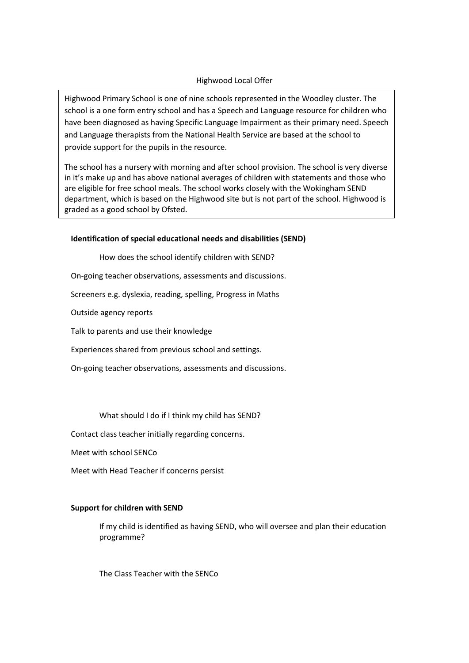# Highwood Local Offer

Highwood Primary School is one of nine schools represented in the Woodley cluster. The school is a one form entry school and has a Speech and Language resource for children who have been diagnosed as having Specific Language Impairment as their primary need. Speech and Language therapists from the National Health Service are based at the school to provide support for the pupils in the resource.

The school has a nursery with morning and after school provision. The school is very diverse in it's make up and has above national averages of children with statements and those who are eligible for free school meals. The school works closely with the Wokingham SEND department, which is based on the Highwood site but is not part of the school. Highwood is graded as a good school by Ofsted.

## **Identification of special educational needs and disabilities (SEND)**

How does the school identify children with SEND?

On-going teacher observations, assessments and discussions.

Screeners e.g. dyslexia, reading, spelling, Progress in Maths

Outside agency reports

Talk to parents and use their knowledge

Experiences shared from previous school and settings.

On-going teacher observations, assessments and discussions.

What should I do if I think my child has SEND?

Contact class teacher initially regarding concerns.

Meet with school SENCo

Meet with Head Teacher if concerns persist

## **Support for children with SEND**

If my child is identified as having SEND, who will oversee and plan their education programme?

The Class Teacher with the SENCo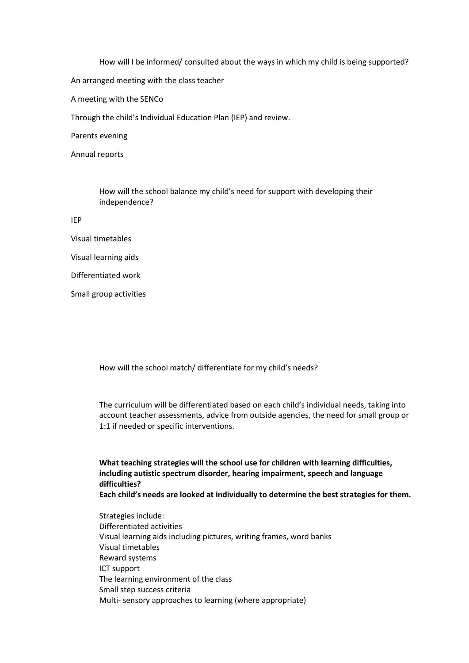How will I be informed/ consulted about the ways in which my child is being supported? An arranged meeting with the class teacher A meeting with the SENCo Through the child's Individual Education Plan (IEP) and review. Parents evening

Annual reports

How will the school balance my child's need for support with developing their independence?

IEP

- Visual timetables
- Visual learning aids
- Differentiated work
- Small group activities

How will the school match/ differentiate for my child's needs?

The curriculum will be differentiated based on each child's individual needs, taking into account teacher assessments, advice from outside agencies, the need for small group or 1:1 if needed or specific interventions.

**What teaching strategies will the school use for children with learning difficulties, including autistic spectrum disorder, hearing impairment, speech and language difficulties?**

**Each child's needs are looked at individually to determine the best strategies for them.** 

Strategies include: Differentiated activities Visual learning aids including pictures, writing frames, word banks Visual timetables Reward systems ICT support The learning environment of the class Small step success criteria Multi- sensory approaches to learning (where appropriate)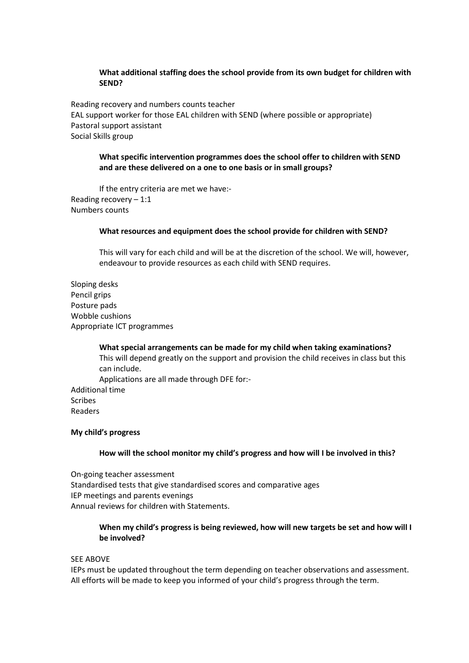## **What additional staffing does the school provide from its own budget for children with SEND?**

Reading recovery and numbers counts teacher EAL support worker for those EAL children with SEND (where possible or appropriate) Pastoral support assistant Social Skills group

## **What specific intervention programmes does the school offer to children with SEND and are these delivered on a one to one basis or in small groups?**

If the entry criteria are met we have:- Reading recovery – 1:1 Numbers counts

### **What resources and equipment does the school provide for children with SEND?**

This will vary for each child and will be at the discretion of the school. We will, however, endeavour to provide resources as each child with SEND requires.

Sloping desks Pencil grips Posture pads Wobble cushions Appropriate ICT programmes

**What special arrangements can be made for my child when taking examinations?** This will depend greatly on the support and provision the child receives in class but this can include. Applications are all made through DFE for:- Additional time Readers

#### **My child's progress**

Scribes

#### **How will the school monitor my child's progress and how will I be involved in this?**

On-going teacher assessment Standardised tests that give standardised scores and comparative ages IEP meetings and parents evenings Annual reviews for children with Statements.

## **When my child's progress is being reviewed, how will new targets be set and how will I be involved?**

#### SEE ABOVE

IEPs must be updated throughout the term depending on teacher observations and assessment. All efforts will be made to keep you informed of your child's progress through the term.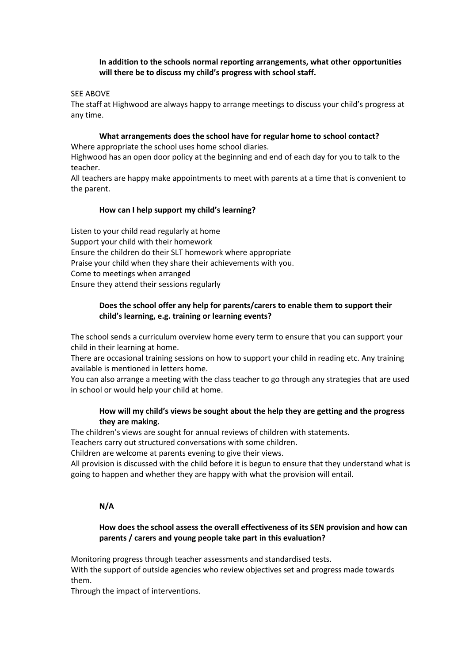# **In addition to the schools normal reporting arrangements, what other opportunities will there be to discuss my child's progress with school staff.**

## SEE ABOVE

The staff at Highwood are always happy to arrange meetings to discuss your child's progress at any time.

**What arrangements does the school have for regular home to school contact?** Where appropriate the school uses home school diaries.

Highwood has an open door policy at the beginning and end of each day for you to talk to the teacher.

All teachers are happy make appointments to meet with parents at a time that is convenient to the parent.

### **How can I help support my child's learning?**

Listen to your child read regularly at home Support your child with their homework Ensure the children do their SLT homework where appropriate Praise your child when they share their achievements with you. Come to meetings when arranged Ensure they attend their sessions regularly

## **Does the school offer any help for parents/carers to enable them to support their child's learning, e.g. training or learning events?**

The school sends a curriculum overview home every term to ensure that you can support your child in their learning at home.

There are occasional training sessions on how to support your child in reading etc. Any training available is mentioned in letters home.

You can also arrange a meeting with the class teacher to go through any strategies that are used in school or would help your child at home.

## **How will my child's views be sought about the help they are getting and the progress they are making.**

The children's views are sought for annual reviews of children with statements.

Teachers carry out structured conversations with some children.

Children are welcome at parents evening to give their views.

All provision is discussed with the child before it is begun to ensure that they understand what is going to happen and whether they are happy with what the provision will entail.

## **N/A**

# **How does the school assess the overall effectiveness of its SEN provision and how can parents / carers and young people take part in this evaluation?**

Monitoring progress through teacher assessments and standardised tests. With the support of outside agencies who review objectives set and progress made towards them.

Through the impact of interventions.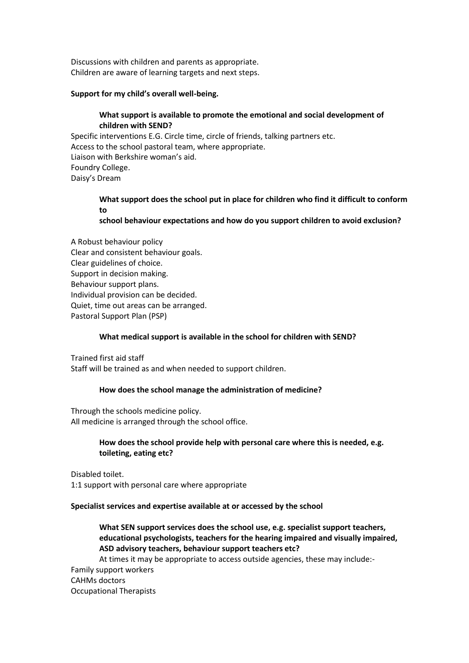Discussions with children and parents as appropriate. Children are aware of learning targets and next steps.

### **Support for my child's overall well-being.**

## **What support is available to promote the emotional and social development of children with SEND?**

Specific interventions E.G. Circle time, circle of friends, talking partners etc. Access to the school pastoral team, where appropriate. Liaison with Berkshire woman's aid. Foundry College. Daisy's Dream

# **What support does the school put in place for children who find it difficult to conform to**

**school behaviour expectations and how do you support children to avoid exclusion?**

A Robust behaviour policy Clear and consistent behaviour goals. Clear guidelines of choice. Support in decision making. Behaviour support plans. Individual provision can be decided. Quiet, time out areas can be arranged. Pastoral Support Plan (PSP)

## **What medical support is available in the school for children with SEND?**

Trained first aid staff Staff will be trained as and when needed to support children.

#### **How does the school manage the administration of medicine?**

Through the schools medicine policy. All medicine is arranged through the school office.

> **How does the school provide help with personal care where this is needed, e.g. toileting, eating etc?**

Disabled toilet. 1:1 support with personal care where appropriate

### **Specialist services and expertise available at or accessed by the school**

**What SEN support services does the school use, e.g. specialist support teachers, educational psychologists, teachers for the hearing impaired and visually impaired, ASD advisory teachers, behaviour support teachers etc?**

At times it may be appropriate to access outside agencies, these may include:- Family support workers CAHMs doctors Occupational Therapists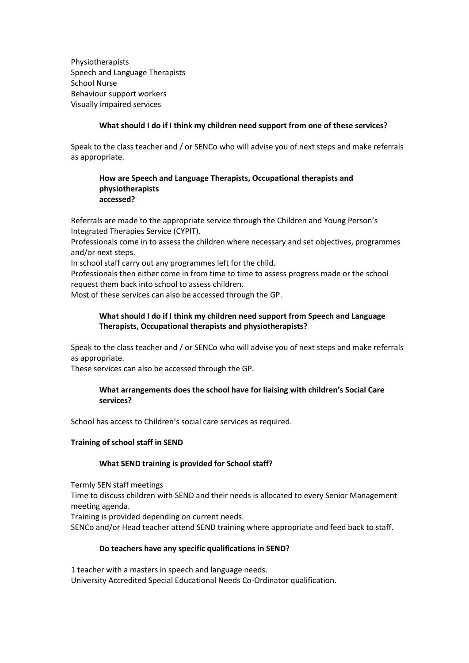Physiotherapists Speech and Language Therapists School Nurse Behaviour support workers Visually impaired services

## **What should I do if I think my children need support from one of these services?**

Speak to the class teacher and / or SENCo who will advise you of next steps and make referrals as appropriate.

## **How are Speech and Language Therapists, Occupational therapists and physiotherapists accessed?**

Referrals are made to the appropriate service through the Children and Young Person's Integrated Therapies Service (CYPIT).

Professionals come in to assess the children where necessary and set objectives, programmes and/or next steps.

In school staff carry out any programmes left for the child.

Professionals then either come in from time to time to assess progress made or the school request them back into school to assess children.

Most of these services can also be accessed through the GP.

# **What should I do if I think my children need support from Speech and Language Therapists, Occupational therapists and physiotherapists?**

Speak to the class teacher and / or SENCo who will advise you of next steps and make referrals as appropriate.

These services can also be accessed through the GP.

# **What arrangements does the school have for liaising with children's Social Care services?**

School has access to Children's social care services as required.

## **Training of school staff in SEND**

## **What SEND training is provided for School staff?**

Termly SEN staff meetings

Time to discuss children with SEND and their needs is allocated to every Senior Management meeting agenda.

Training is provided depending on current needs.

SENCo and/or Head teacher attend SEND training where appropriate and feed back to staff.

## **Do teachers have any specific qualifications in SEND?**

1 teacher with a masters in speech and language needs. University Accredited Special Educational Needs Co-Ordinator qualification.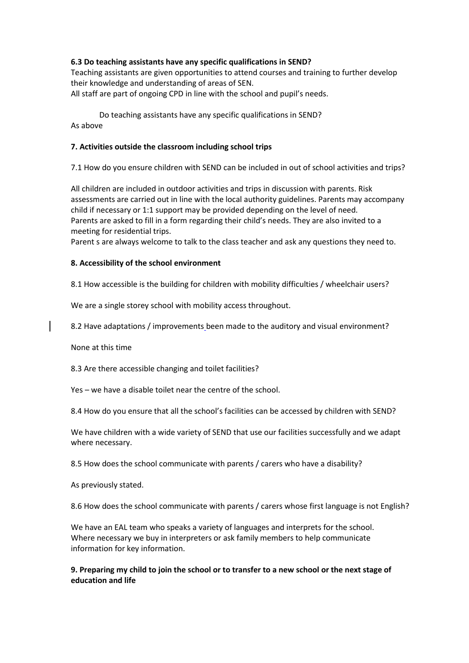# **6.3 Do teaching assistants have any specific qualifications in SEND?**

Teaching assistants are given opportunities to attend courses and training to further develop their knowledge and understanding of areas of SEN. All staff are part of ongoing CPD in line with the school and pupil's needs.

Do teaching assistants have any specific qualifications in SEND? As above

# **7. Activities outside the classroom including school trips**

7.1 How do you ensure children with SEND can be included in out of school activities and trips?

All children are included in outdoor activities and trips in discussion with parents. Risk assessments are carried out in line with the local authority guidelines. Parents may accompany child if necessary or 1:1 support may be provided depending on the level of need. Parents are asked to fill in a form regarding their child's needs. They are also invited to a meeting for residential trips.

Parent s are always welcome to talk to the class teacher and ask any questions they need to.

# **8. Accessibility of the school environment**

8.1 How accessible is the building for children with mobility difficulties / wheelchair users?

We are a single storey school with mobility access throughout.

8.2 Have adaptations / improvements been made to the auditory and visual environment?

None at this time

8.3 Are there accessible changing and toilet facilities?

Yes – we have a disable toilet near the centre of the school.

8.4 How do you ensure that all the school's facilities can be accessed by children with SEND?

We have children with a wide variety of SEND that use our facilities successfully and we adapt where necessary.

8.5 How does the school communicate with parents / carers who have a disability?

As previously stated.

8.6 How does the school communicate with parents / carers whose first language is not English?

We have an EAL team who speaks a variety of languages and interprets for the school. Where necessary we buy in interpreters or ask family members to help communicate information for key information.

# **9. Preparing my child to join the school or to transfer to a new school or the next stage of education and life**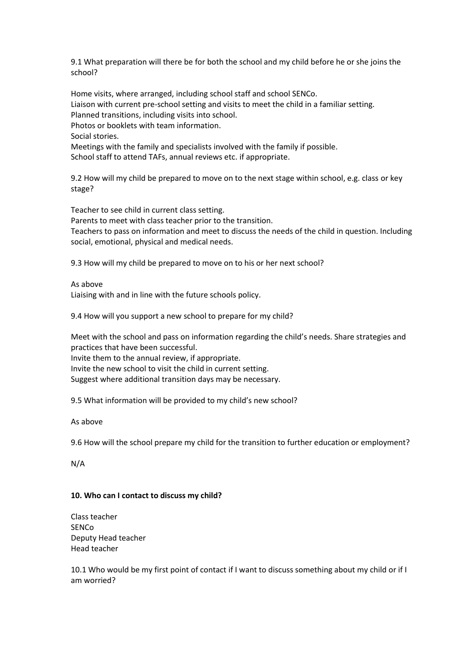9.1 What preparation will there be for both the school and my child before he or she joins the school?

Home visits, where arranged, including school staff and school SENCo. Liaison with current pre-school setting and visits to meet the child in a familiar setting. Planned transitions, including visits into school. Photos or booklets with team information. Social stories. Meetings with the family and specialists involved with the family if possible. School staff to attend TAFs, annual reviews etc. if appropriate.

9.2 How will my child be prepared to move on to the next stage within school, e.g. class or key stage?

Teacher to see child in current class setting.

Parents to meet with class teacher prior to the transition.

Teachers to pass on information and meet to discuss the needs of the child in question. Including social, emotional, physical and medical needs.

9.3 How will my child be prepared to move on to his or her next school?

As above

Liaising with and in line with the future schools policy.

9.4 How will you support a new school to prepare for my child?

Meet with the school and pass on information regarding the child's needs. Share strategies and practices that have been successful.

Invite them to the annual review, if appropriate.

Invite the new school to visit the child in current setting.

Suggest where additional transition days may be necessary.

9.5 What information will be provided to my child's new school?

As above

9.6 How will the school prepare my child for the transition to further education or employment?

N/A

## **10. Who can I contact to discuss my child?**

Class teacher SENCo Deputy Head teacher Head teacher

10.1 Who would be my first point of contact if I want to discuss something about my child or if I am worried?